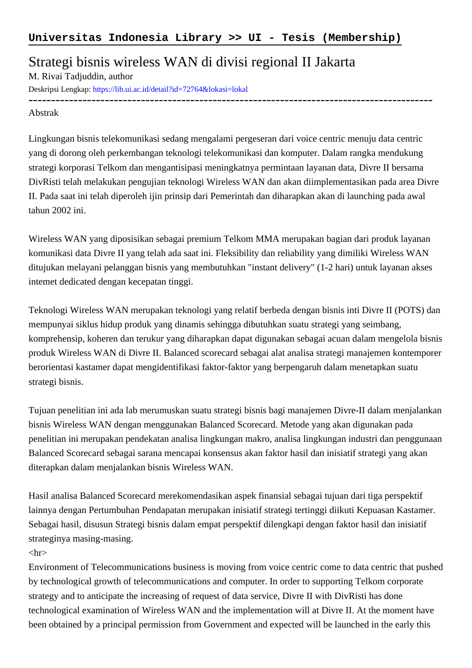## Strategi bisnis wireless WAN di divisi regional II Jakarta

M. Rivai Tadjuddin, author

Deskripsi Lengkap:<https://lib.ui.ac.id/detail?id=72764&lokasi=lokal>

------------------------------------------------------------------------------------------ Abstrak

Lingkungan bisnis telekomunikasi sedang mengalami pergeseran dari voice centric menuju data centric yang di dorong oleh perkembangan teknologi telekomunikasi dan komputer. Dalam rangka mendukung strategi korporasi Telkom dan mengantisipasi meningkatnya permintaan layanan data, Divre II bersama DivRisti telah melakukan pengujian teknologi Wireless WAN dan akan diimplementasikan pada area Divre II. Pada saat ini telah diperoleh ijin prinsip dari Pemerintah dan diharapkan akan di launching pada awal tahun 2002 ini.

Wireless WAN yang diposisikan sebagai premium Telkom MMA merupakan bagian dari produk layanan komunikasi data Divre II yang telah ada saat ini. Fleksibility dan reliability yang dimiliki Wireless WAN ditujukan melayani pelanggan bisnis yang membutuhkan "instant delivery" (1-2 hari) untuk layanan akses intemet dedicated dengan kecepatan tinggi.

Teknologi Wireless WAN merupakan teknologi yang relatif berbeda dengan bisnis inti Divre II (POTS) dan mempunyai siklus hidup produk yang dinamis sehingga dibutuhkan suatu strategi yang seimbang, komprehensip, koheren dan terukur yang diharapkan dapat digunakan sebagai acuan dalam mengelola bisnis produk Wireless WAN di Divre II. Balanced scorecard sebagai alat analisa strategi manajemen kontemporer berorientasi kastamer dapat mengidentifikasi faktor-faktor yang berpengaruh dalam menetapkan suatu strategi bisnis.

Tujuan penelitian ini ada lab merumuskan suatu strategi bisnis bagi manajemen Divre-II dalam menjalankan bisnis Wireless WAN dengan menggunakan Balanced Scorecard. Metode yang akan digunakan pada penelitian ini merupakan pendekatan analisa lingkungan makro, analisa lingkungan industri dan penggunaan Balanced Scorecard sebagai sarana mencapai konsensus akan faktor hasil dan inisiatif strategi yang akan diterapkan dalam menjalankan bisnis Wireless WAN.

Hasil analisa Balanced Scorecard merekomendasikan aspek finansial sebagai tujuan dari tiga perspektif lainnya dengan Pertumbuhan Pendapatan merupakan inisiatif strategi tertinggi diikuti Kepuasan Kastamer. Sebagai hasil, disusun Strategi bisnis dalam empat perspektif dilengkapi dengan faktor hasil dan inisiatif strateginya masing-masing.

## $\langle$ hr $>$

Environment of Telecommunications business is moving from voice centric come to data centric that pushed by technological growth of telecommunications and computer. In order to supporting Telkom corporate strategy and to anticipate the increasing of request of data service, Divre II with DivRisti has done technological examination of Wireless WAN and the implementation will at Divre II. At the moment have been obtained by a principal permission from Government and expected will be launched in the early this